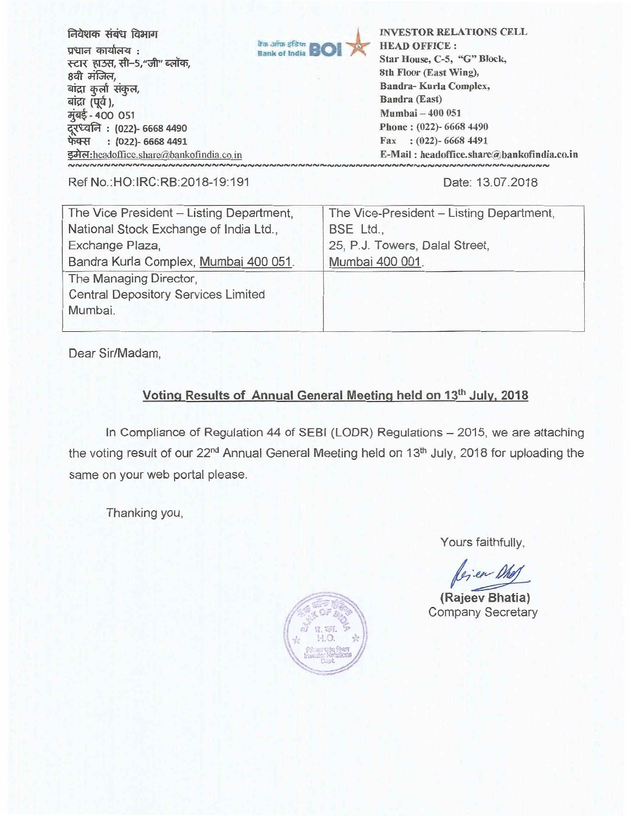**14421 \*161%.1 1- 311,11 IM11-4 colAievi :**  स्टार हाउस, सी-5,"जी" ब्लॉक, 8वी मंजिल, बांद्रा कुर्ला संकुल, बांद्रा (पूर्व), मूंबई - 400 051 **: (022)- 6668 4490 th-4R1 : (022)- 6668 4491**  इमेल:headoffice.share@bankofindia.co.in NNNNNNNNNNNNNNNNNNNN

वैक आँफ़ इंडिया **Bank of India** 

**INVESTOR RELATIONS CELL HEAD OFFICE : Star House, C-5, "G" Block, 8th Floor (East Wing), Bandra- Kurla Complex, Sandra (East) Mumbai — 400 051 Phone : (022)- 6668 4490 Fax : (022)- 6668 4491 E-Mail : headoffice.share@bankofindia.co.in** ๛๛๛๛๛๛๛๛๛๛๛๛๛๛๛๛

Ref No.:HO:IRC:RB:2018-19:191 Date: 13.07.2018

| The Vice President - Listing Department,   | The Vice-President - Listing Department, |
|--------------------------------------------|------------------------------------------|
| National Stock Exchange of India Ltd.,     | BSE Ltd.,                                |
| Exchange Plaza,                            | 25, P.J. Towers, Dalal Street,           |
| Bandra Kurla Complex, Mumbai 400 051.      | Mumbai 400 001.                          |
| The Managing Director,                     |                                          |
| <b>Central Depository Services Limited</b> |                                          |
| Mumbai.                                    |                                          |
|                                            |                                          |

Dear Sir/Madam,

## Voting Results of Annual General Meeting held on 13<sup>th</sup> July, 2018

In Compliance of Regulation 44 of SEBI (LODR) Regulations — 2015, we are attaching the voting result of our 22<sup>nd</sup> Annual General Meeting held on 13<sup>th</sup> July, 2018 for uploading the same on your web portal please.

Thanking you,

Yours faithfully,

**(Rajeev Bhatia)**  Company Secretary